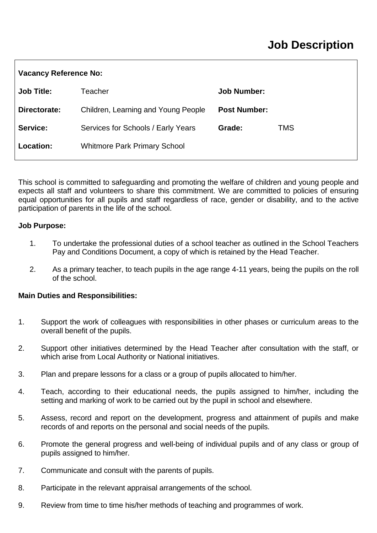## **Job Description**

| <b>Vacancy Reference No:</b> |                                     |                     |     |
|------------------------------|-------------------------------------|---------------------|-----|
| <b>Job Title:</b>            | Teacher                             | <b>Job Number:</b>  |     |
| Directorate:                 | Children, Learning and Young People | <b>Post Number:</b> |     |
| Service:                     | Services for Schools / Early Years  | Grade:              | TMS |
| Location:                    | <b>Whitmore Park Primary School</b> |                     |     |

This school is committed to safeguarding and promoting the welfare of children and young people and expects all staff and volunteers to share this commitment. We are committed to policies of ensuring equal opportunities for all pupils and staff regardless of race, gender or disability, and to the active participation of parents in the life of the school.

#### **Job Purpose:**

- 1. To undertake the professional duties of a school teacher as outlined in the School Teachers Pay and Conditions Document, a copy of which is retained by the Head Teacher.
- 2. As a primary teacher, to teach pupils in the age range 4-11 years, being the pupils on the roll of the school.

### **Main Duties and Responsibilities:**

- 1. Support the work of colleagues with responsibilities in other phases or curriculum areas to the overall benefit of the pupils.
- 2. Support other initiatives determined by the Head Teacher after consultation with the staff, or which arise from Local Authority or National initiatives.
- 3. Plan and prepare lessons for a class or a group of pupils allocated to him/her.
- 4. Teach, according to their educational needs, the pupils assigned to him/her, including the setting and marking of work to be carried out by the pupil in school and elsewhere.
- 5. Assess, record and report on the development, progress and attainment of pupils and make records of and reports on the personal and social needs of the pupils.
- 6. Promote the general progress and well-being of individual pupils and of any class or group of pupils assigned to him/her.
- 7. Communicate and consult with the parents of pupils.
- 8. Participate in the relevant appraisal arrangements of the school.
- 9. Review from time to time his/her methods of teaching and programmes of work.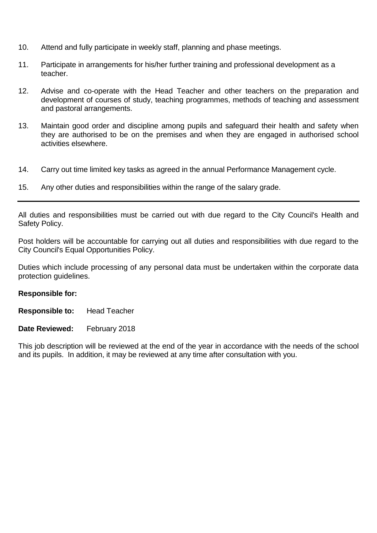- 10. Attend and fully participate in weekly staff, planning and phase meetings.
- 11. Participate in arrangements for his/her further training and professional development as a teacher.
- 12. Advise and co-operate with the Head Teacher and other teachers on the preparation and development of courses of study, teaching programmes, methods of teaching and assessment and pastoral arrangements.
- 13. Maintain good order and discipline among pupils and safeguard their health and safety when they are authorised to be on the premises and when they are engaged in authorised school activities elsewhere.
- 14. Carry out time limited key tasks as agreed in the annual Performance Management cycle.
- 15. Any other duties and responsibilities within the range of the salary grade.

All duties and responsibilities must be carried out with due regard to the City Council's Health and Safety Policy.

Post holders will be accountable for carrying out all duties and responsibilities with due regard to the City Council's Equal Opportunities Policy.

Duties which include processing of any personal data must be undertaken within the corporate data protection guidelines.

### **Responsible for:**

**Responsible to:** Head Teacher

#### **Date Reviewed:** February 2018

This job description will be reviewed at the end of the year in accordance with the needs of the school and its pupils. In addition, it may be reviewed at any time after consultation with you.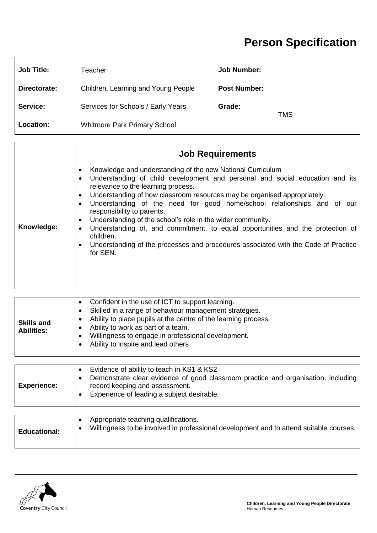# **Person Specification**

| <b>Job Title:</b> | Teacher                             | <b>Job Number:</b>  |            |
|-------------------|-------------------------------------|---------------------|------------|
| Directorate:      | Children, Learning and Young People | <b>Post Number:</b> |            |
| Service:          | Services for Schools / Early Years  | Grade:              | <b>TMS</b> |
| Location:         | <b>Whitmore Park Primary School</b> |                     |            |

|            | <b>Job Requirements</b>                                                                                                                                                                                                                                                                                                                                                                                                                                                                                                                                                                                                                                                                            |
|------------|----------------------------------------------------------------------------------------------------------------------------------------------------------------------------------------------------------------------------------------------------------------------------------------------------------------------------------------------------------------------------------------------------------------------------------------------------------------------------------------------------------------------------------------------------------------------------------------------------------------------------------------------------------------------------------------------------|
| Knowledge: | Knowledge and understanding of the new National Curriculum<br>٠<br>Understanding of child development and personal and social education and its<br>$\bullet$<br>relevance to the learning process.<br>Understanding of how classroom resources may be organised appropriately.<br>٠<br>Understanding of the need for good home/school relationships and of our<br>$\bullet$<br>responsibility to parents.<br>Understanding of the school's role in the wider community.<br>$\bullet$<br>Understanding of, and commitment, to equal opportunities and the protection of<br>$\bullet$<br>children.<br>Understanding of the processes and procedures associated with the Code of Practice<br>for SEN. |

| <b>Skills and</b><br><b>Abilities:</b> | Confident in the use of ICT to support learning.<br>Skilled in a range of behaviour management strategies.<br>Ability to place pupils at the centre of the learning process.<br>Ability to work as part of a team.<br>Willingness to engage in professional development.<br>Ability to inspire and lead others |
|----------------------------------------|----------------------------------------------------------------------------------------------------------------------------------------------------------------------------------------------------------------------------------------------------------------------------------------------------------------|
|----------------------------------------|----------------------------------------------------------------------------------------------------------------------------------------------------------------------------------------------------------------------------------------------------------------------------------------------------------------|

| <b>Experience:</b> | Evidence of ability to teach in KS1 & KS2<br>Demonstrate clear evidence of good classroom practice and organisation, including<br>record keeping and assessment.<br>Experience of leading a subject desirable. |
|--------------------|----------------------------------------------------------------------------------------------------------------------------------------------------------------------------------------------------------------|
|                    |                                                                                                                                                                                                                |

| Appropriate teaching qualifications.<br>Willingness to be involved in professional development and to attend suitable courses.<br><b>Educational:</b> |  |
|-------------------------------------------------------------------------------------------------------------------------------------------------------|--|
|-------------------------------------------------------------------------------------------------------------------------------------------------------|--|